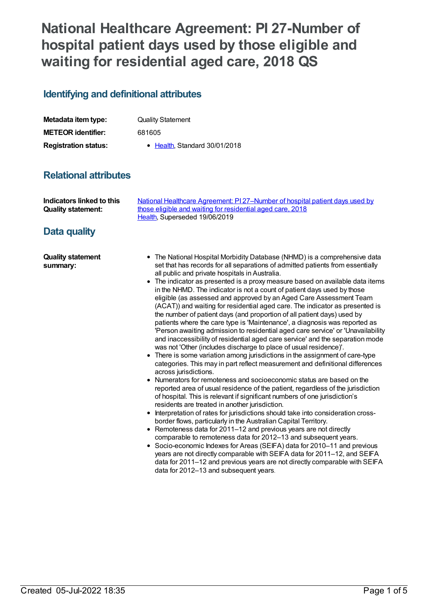# **National Healthcare Agreement: PI 27-Number of hospital patient days used by those eligible and waiting for residential aged care, 2018 QS**

## **Identifying and definitional attributes**

| Metadata item type:         | <b>Quality Statement</b>     |
|-----------------------------|------------------------------|
| <b>METEOR identifier:</b>   | 681605                       |
| <b>Registration status:</b> | • Health Standard 30/01/2018 |

## **Relational attributes**

| Indicators linked to this | National Healthcare Agreement: PI 27-Number of hospital patient days used by |
|---------------------------|------------------------------------------------------------------------------|
| <b>Quality statement:</b> | those eligible and waiting for residential aged care, 2018                   |
|                           | Health. Superseded 19/06/2019                                                |

## **Data quality**

| <b>Quality statement</b> | • The National Hospital Morbidity Database (NHMD) is a comprehensive data      |
|--------------------------|--------------------------------------------------------------------------------|
| summary:                 | set that has records for all separations of admitted patients from essentially |
|                          | all public and private hospitals in Australia.                                 |

- The indicator as presented is a proxy measure based on available data items in the NHMD. The indicator is not a count of patient days used by those eligible (as assessed and approved by an Aged Care Assessment Team (ACAT)) and waiting for residential aged care. The indicator as presented is the number of patient days (and proportion of all patient days) used by patients where the care type is 'Maintenance', a diagnosis was reported as 'Person awaiting admission to residential aged care service' or 'Unavailability and inaccessibility of residential aged care service' and the separation mode was not 'Other (includes discharge to place of usual residence)'.
- There is some variation among jurisdictions in the assignment of care-type categories. This may in part reflect measurement and definitional differences across jurisdictions.
- Numerators for remoteness and socioeconomic status are based on the reported area of usual residence of the patient, regardless of the jurisdiction of hospital. This is relevant if significant numbers of one jurisdiction's residents are treated in another jurisdiction.
- Interpretation of rates for jurisdictions should take into consideration crossborder flows, particularly in the Australian Capital Territory.
- Remoteness data for 2011–12 and previous years are not directly comparable to remoteness data for 2012–13 and subsequent years.
- Socio-economic Indexes for Areas (SEIFA) data for 2010–11 and previous years are not directly comparable with SEIFA data for 2011–12, and SEIFA data for 2011–12 and previous years are not directly comparable with SEIFA data for 2012–13 and subsequent years.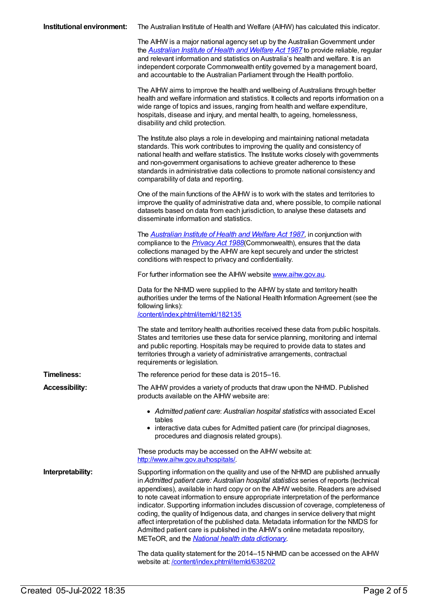|  | <b>Institutional environment:</b> The Australian Institute of Health and Welfare (AIHW) has calculated this indicator. |
|--|------------------------------------------------------------------------------------------------------------------------|
|--|------------------------------------------------------------------------------------------------------------------------|

The AIHW is a major national agency set up by the Australian Government under the *[Australian](http://www.legislation.gov.au/Series/C2004A03450) Institute of Health and Welfare Act 1987* to provide reliable, regular and relevant information and statistics on Australia's health and welfare. It is an independent corporate Commonwealth entity governed by a management board, and accountable to the Australian Parliament through the Health portfolio.

The AIHW aims to improve the health and wellbeing of Australians through better health and welfare information and statistics. It collects and reports information on a wide range of topics and issues, ranging from health and welfare expenditure, hospitals, disease and injury, and mental health, to ageing, homelessness, disability and child protection.

The Institute also plays a role in developing and maintaining national metadata standards. This work contributes to improving the quality and consistency of national health and welfare statistics. The Institute works closely with governments and non-government organisations to achieve greater adherence to these standards in administrative data collections to promote national consistency and comparability of data and reporting.

One of the main functions of the AIHW is to work with the states and territories to improve the quality of administrative data and, where possible, to compile national datasets based on data from each jurisdiction, to analyse these datasets and disseminate information and statistics.

The *[Australian](http://www.legislation.gov.au/Series/C2004A03450) Institute of Health and Welfare Act 1987*, in conjunction with compliance to the *[Privacy](https://www.legislation.gov.au/Series/C2004A03712) Act 1988*(Commonwealth), ensures that the data collections managed by the AIHW are kept securely and under the strictest conditions with respect to privacy and confidentiality.

For further information see the AIHW website [www.aihw.gov.au](http://www.aihw.gov.au/).

Data for the NHMD were supplied to the AIHW by state and territory health authorities under the terms of the National Health Information Agreement (see the following links): [/content/index.phtml/itemId/182135](file:///content/182135)

The state and territory health authorities received these data from public hospitals. States and territories use these data for service planning, monitoring and internal and public reporting. Hospitals may be required to provide data to states and territories through a variety of administrative arrangements, contractual requirements or legislation.

**Timeliness:** The reference period for these data is 2015–16. **Accessibility:** The AIHW provides a variety of products that draw upon the NHMD. Published products available on the AIHW website are:

- *Admitted patient care*: *Australian hospital statistics* with associated Excel tables
- interactive data cubes for Admitted patient care (for principal diagnoses, procedures and diagnosis related groups).

These products may be accessed on the AIHW website at: <http://www.aihw.gov.au/hospitals/>.

**Interpretability:** Supporting information on the quality and use of the NHMD are published annually in *Admitted patient care: Australian hospital statistics* series of reports (technical appendixes), available in hard copy or on the AIHW website. Readers are advised to note caveat information to ensure appropriate interpretation of the performance indicator. Supporting information includes discussion of coverage, completeness of coding, the quality of Indigenous data, and changes in service delivery that might affect interpretation of the published data. Metadata information for the NMDS for Admitted patient care is published in the AIHW's online metadata repository, METeOR, and the *National health data [dictionary](file:///content/268110)*.

> The data quality statement for the 2014–15 NHMD can be accessed on the AIHW website at: /content/index.phtml/itemld/638202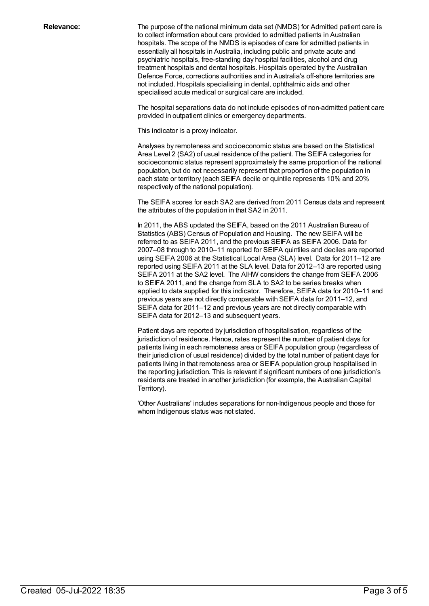**Relevance:** The purpose of the national minimum data set (NMDS) for Admitted patient care is to collect information about care provided to admitted patients in Australian hospitals. The scope of the NMDS is episodes of care for admitted patients in essentially all hospitals in Australia, including public and private acute and psychiatric hospitals, free-standing day hospital facilities, alcohol and drug treatment hospitals and dental hospitals. Hospitals operated by the Australian Defence Force, corrections authorities and in Australia's off-shore territories are not included. Hospitals specialising in dental, ophthalmic aids and other specialised acute medical or surgical care are included.

> The hospital separations data do not include episodes of non-admitted patient care provided in outpatient clinics or emergency departments.

This indicator is a proxy indicator.

Analyses by remoteness and socioeconomic status are based on the Statistical Area Level 2 (SA2) of usual residence of the patient. The SEIFA categories for socioeconomic status represent approximately the same proportion of the national population, but do not necessarily represent that proportion of the population in each state or territory (each SEIFA decile or quintile represents 10% and 20% respectively of the national population).

The SEIFA scores for each SA2 are derived from 2011 Census data and represent the attributes of the population in that SA2 in 2011.

In 2011, the ABS updated the SEIFA, based on the 2011 Australian Bureau of Statistics (ABS) Census of Population and Housing. The new SEIFA will be referred to as SEIFA 2011, and the previous SEIFA as SEIFA 2006. Data for 2007–08 through to 2010–11 reported for SEIFA quintiles and deciles are reported using SEIFA 2006 at the Statistical Local Area (SLA) level. Data for 2011–12 are reported using SEIFA 2011 at the SLA level. Data for 2012–13 are reported using SEIFA 2011 at the SA2 level. The AIHW considers the change from SEIFA 2006 to SEIFA 2011, and the change from SLA to SA2 to be series breaks when applied to data supplied for this indicator. Therefore, SEIFA data for 2010–11 and previous years are not directly comparable with SEIFA data for 2011–12, and SEIFA data for 2011–12 and previous years are not directly comparable with SEIFA data for 2012–13 and subsequent years.

Patient days are reported by jurisdiction of hospitalisation, regardless of the jurisdiction of residence. Hence, rates represent the number of patient days for patients living in each remoteness area or SEIFA population group (regardless of their jurisdiction of usual residence) divided by the total number of patient days for patients living in that remoteness area or SEIFA population group hospitalised in the reporting jurisdiction. This is relevant if significant numbers of one jurisdiction's residents are treated in another jurisdiction (for example, the Australian Capital Territory).

'Other Australians' includes separations for non-Indigenous people and those for whom Indigenous status was not stated.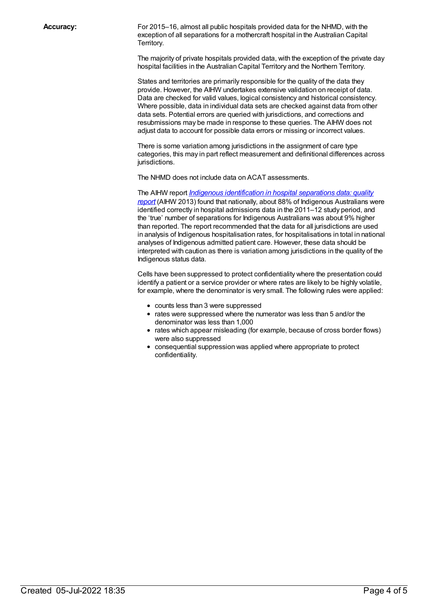**Accuracy:** For 2015–16, almost all public hospitals provided data for the NHMD, with the exception of all separations for a mothercraft hospital in the Australian Capital Territory.

> The majority of private hospitals provided data, with the exception of the private day hospital facilities in the Australian Capital Territory and the Northern Territory.

States and territories are primarily responsible for the quality of the data they provide. However, the AIHW undertakes extensive validation on receipt of data. Data are checked for valid values, logical consistency and historical consistency. Where possible, data in individual data sets are checked against data from other data sets. Potential errors are queried with jurisdictions, and corrections and resubmissions may be made in response to these queries. The AIHW does not adjust data to account for possible data errors or missing or incorrect values.

There is some variation among jurisdictions in the assignment of care type categories, this may in part reflect measurement and definitional differences across jurisdictions.

The NHMD does not include data on ACAT assessments.

The AIHW report *Indigenous [identification](http://www.aihw.gov.au/publication-detail/?id=60129543215) in hospital separations data: quality report* (AIHW 2013) found that nationally, about 88% of Indigenous Australians were identified correctly in hospital admissions data in the 2011–12 study period, and the 'true' number of separations for Indigenous Australians was about 9% higher than reported. The report recommended that the data for all jurisdictions are used in analysis of Indigenous hospitalisation rates, for hospitalisations in total in national analyses of Indigenous admitted patient care. However, these data should be interpreted with caution as there is variation among jurisdictions in the quality of the Indigenous status data.

Cells have been suppressed to protect confidentiality where the presentation could identify a patient or a service provider or where rates are likely to be highly volatile, for example, where the denominator is very small. The following rules were applied:

- counts less than 3 were suppressed
- rates were suppressed where the numerator was less than 5 and/or the denominator was less than 1,000
- rates which appear misleading (for example, because of cross border flows) were also suppressed
- consequential suppression was applied where appropriate to protect confidentiality.